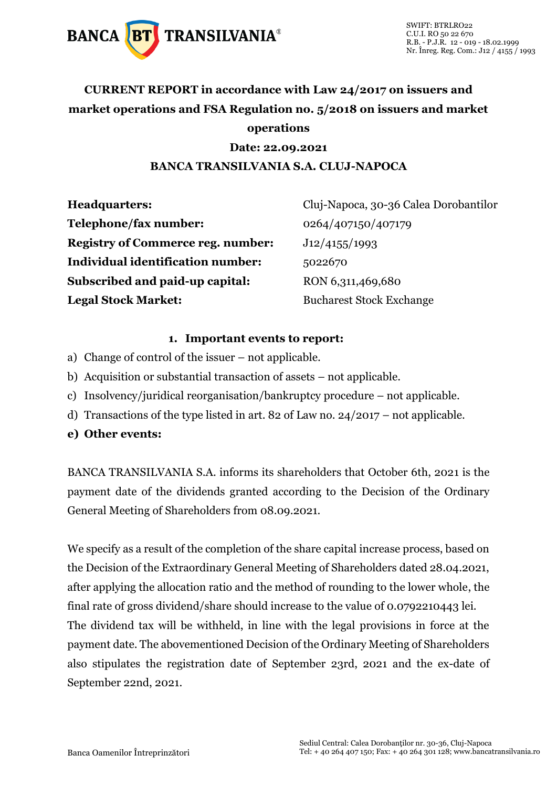

## **CURRENT REPORT in accordance with Law 24/2017 on issuers and market operations and FSA Regulation no. 5/2018 on issuers and market operations**

#### **Date: 22.09.2021 BANCA TRANSILVANIA S.A. CLUJ-NAPOCA**

| <b>Headquarters:</b>                     | Cluj-Napoca, 30-36 Calea Dorobantilor |
|------------------------------------------|---------------------------------------|
| Telephone/fax number:                    | 0264/407150/407179                    |
| <b>Registry of Commerce reg. number:</b> | J12/4155/1993                         |
| <b>Individual identification number:</b> | 5022670                               |
| Subscribed and paid-up capital:          | RON 6,311,469,680                     |
| <b>Legal Stock Market:</b>               | <b>Bucharest Stock Exchange</b>       |

#### **1. Important events to report:**

- a) Change of control of the issuer not applicable.
- b) Acquisition or substantial transaction of assets not applicable.
- c) Insolvency/juridical reorganisation/bankruptcy procedure not applicable.
- d) Transactions of the type listed in art. 82 of Law no. 24/2017 not applicable.
- **e) Other events:**

BANCA TRANSILVANIA S.A. informs its shareholders that October 6th, 2021 is the payment date of the dividends granted according to the Decision of the Ordinary General Meeting of Shareholders from 08.09.2021.

We specify as a result of the completion of the share capital increase process, based on the Decision of the Extraordinary General Meeting of Shareholders dated 28.04.2021, after applying the allocation ratio and the method of rounding to the lower whole, the final rate of gross dividend/share should increase to the value of 0.0792210443 lei. The dividend tax will be withheld, in line with the legal provisions in force at the payment date. The abovementioned Decision of the Ordinary Meeting of Shareholders also stipulates the registration date of September 23rd, 2021 and the ex-date of September 22nd, 2021.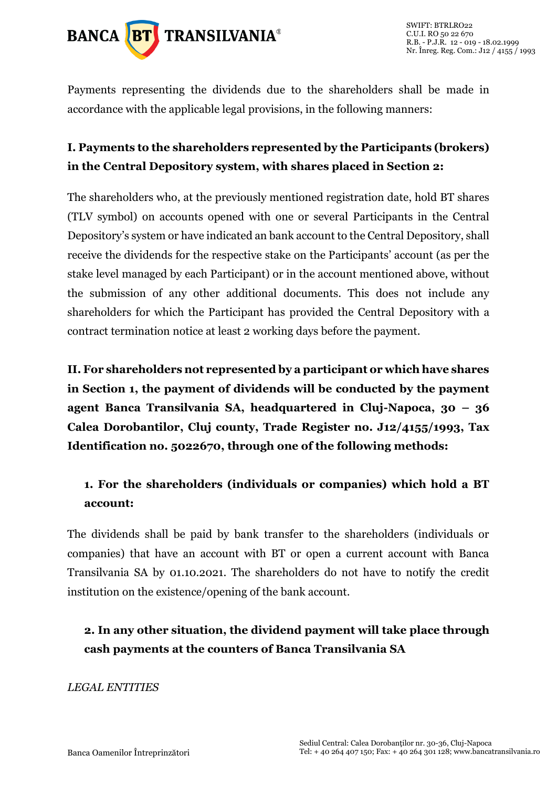

Payments representing the dividends due to the shareholders shall be made in accordance with the applicable legal provisions, in the following manners:

### **I. Payments to the shareholders represented by the Participants (brokers) in the Central Depository system, with shares placed in Section 2:**

The shareholders who, at the previously mentioned registration date, hold BT shares (TLV symbol) on accounts opened with one or several Participants in the Central Depository's system or have indicated an bank account to the Central Depository, shall receive the dividends for the respective stake on the Participants' account (as per the stake level managed by each Participant) or in the account mentioned above, without the submission of any other additional documents. This does not include any shareholders for which the Participant has provided the Central Depository with a contract termination notice at least 2 working days before the payment.

**II. For shareholders not represented by a participant or which have shares in Section 1, the payment of dividends will be conducted by the payment agent Banca Transilvania SA, headquartered in Cluj-Napoca, 30 – 36 Calea Dorobantilor, Cluj county, Trade Register no. J12/4155/1993, Tax Identification no. 5022670, through one of the following methods:** 

## **1. For the shareholders (individuals or companies) which hold a BT account:**

The dividends shall be paid by bank transfer to the shareholders (individuals or companies) that have an account with BT or open a current account with Banca Transilvania SA by 01.10.2021. The shareholders do not have to notify the credit institution on the existence/opening of the bank account.

## **2. In any other situation, the dividend payment will take place through cash payments at the counters of Banca Transilvania SA**

*LEGAL ENTITIES*